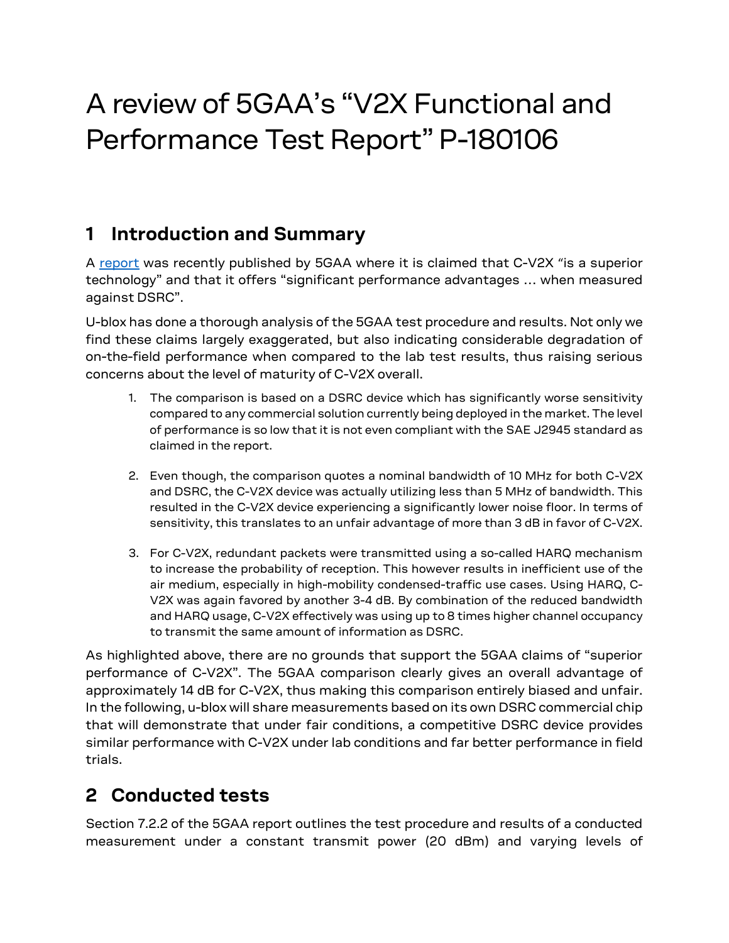# A review of 5GAA's "V2X Functional and Performance Test Report" P-180106

## **1 Introduction and Summary**

A [report](https://ecfsapi.fcc.gov/file/11212224101742/5GAA%20Petition%20for%20Waiver%20-%20Final%2011.21.2018.pdf) was recently published by 5GAA where it is claimed that C-V2X "is a superior technology" and that it offers "significant performance advantages … when measured against DSRC".

U-blox has done a thorough analysis of the 5GAA test procedure and results. Not only we find these claims largely exaggerated, but also indicating considerable degradation of on-the-field performance when compared to the lab test results, thus raising serious concerns about the level of maturity of C-V2X overall.

- 1. The comparison is based on a DSRC device which has significantly worse sensitivity compared to any commercial solution currently being deployed in the market. The level of performance is so low that it is not even compliant with the SAE J2945 standard as claimed in the report.
- 2. Even though, the comparison quotes a nominal bandwidth of 10 MHz for both C-V2X and DSRC, the C-V2X device was actually utilizing less than 5 MHz of bandwidth. This resulted in the C-V2X device experiencing a significantly lower noise floor. In terms of sensitivity, this translates to an unfair advantage of more than 3 dB in favor of C-V2X.
- 3. For C-V2X, redundant packets were transmitted using a so-called HARQ mechanism to increase the probability of reception. This however results in inefficient use of the air medium, especially in high-mobility condensed-traffic use cases. Using HARQ, C-V2X was again favored by another 3-4 dB. By combination of the reduced bandwidth and HARQ usage, C-V2X effectively was using up to 8 times higher channel occupancy to transmit the same amount of information as DSRC.

As highlighted above, there are no grounds that support the 5GAA claims of "superior performance of C-V2X". The 5GAA comparison clearly gives an overall advantage of approximately 14 dB for C-V2X, thus making this comparison entirely biased and unfair. In the following, u-blox will share measurements based on its own DSRC commercial chip that will demonstrate that under fair conditions, a competitive DSRC device provides similar performance with C-V2X under lab conditions and far better performance in field trials.

# **2 Conducted tests**

Section 7.2.2 of the 5GAA report outlines the test procedure and results of a conducted measurement under a constant transmit power (20 dBm) and varying levels of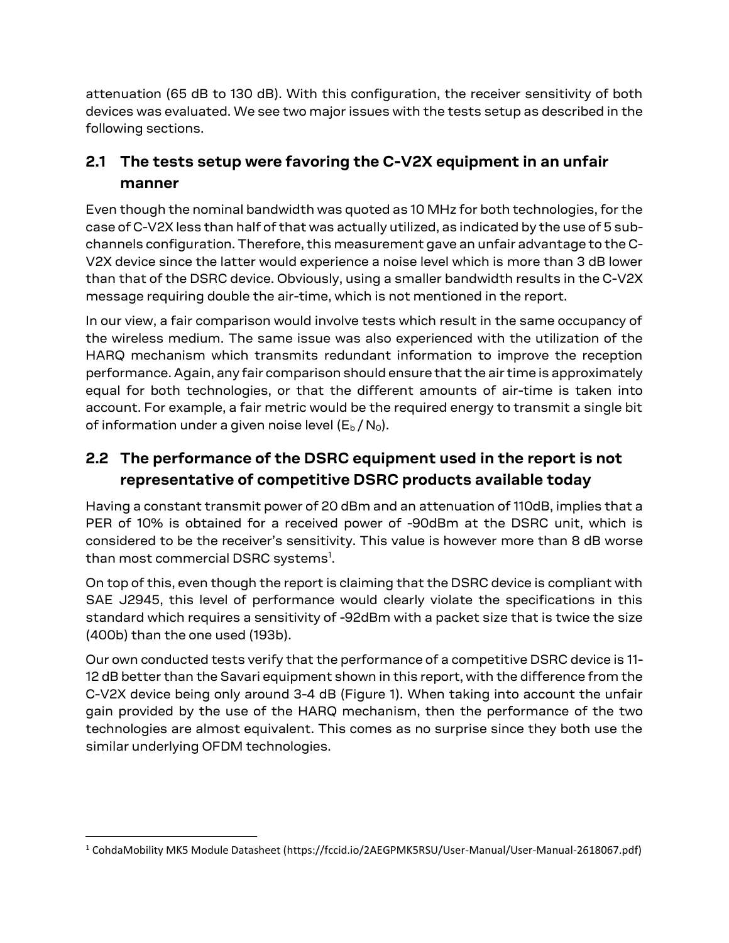attenuation (65 dB to 130 dB). With this configuration, the receiver sensitivity of both devices was evaluated. We see two major issues with the tests setup as described in the following sections.

## **2.1 The tests setup were favoring the C-V2X equipment in an unfair manner**

Even though the nominal bandwidth was quoted as 10 MHz for both technologies, for the case of C-V2X less than half of that was actually utilized, as indicated by the use of 5 subchannels configuration. Therefore, this measurement gave an unfair advantage to the C-V2X device since the latter would experience a noise level which is more than 3 dB lower than that of the DSRC device. Obviously, using a smaller bandwidth results in the C-V2X message requiring double the air-time, which is not mentioned in the report.

In our view, a fair comparison would involve tests which result in the same occupancy of the wireless medium. The same issue was also experienced with the utilization of the HARQ mechanism which transmits redundant information to improve the reception performance. Again, any fair comparison should ensure that the air time is approximately equal for both technologies, or that the different amounts of air-time is taken into account. For example, a fair metric would be the required energy to transmit a single bit of information under a given noise level  $(E_b / N_0)$ .

### **2.2 The performance of the DSRC equipment used in the report is not representative of competitive DSRC products available today**

Having a constant transmit power of 20 dBm and an attenuation of 110dB, implies that a PER of 10% is obtained for a received power of -90dBm at the DSRC unit, which is considered to be the receiver's sensitivity. This value is however more than 8 dB worse than most commercial DSRC systems<sup>1</sup>.

On top of this, even though the report is claiming that the DSRC device is compliant with SAE J2945, this level of performance would clearly violate the specifications in this standard which requires a sensitivity of -92dBm with a packet size that is twice the size (400b) than the one used (193b).

Our own conducted tests verify that the performance of a competitive DSRC device is 11- 12 dB better than the Savari equipment shown in this report, with the difference from the C-V2X device being only around 3-4 dB [\(Figure 1\)](#page-2-0). When taking into account the unfair gain provided by the use of the HARQ mechanism, then the performance of the two technologies are almost equivalent. This comes as no surprise since they both use the similar underlying OFDM technologies.

 $\overline{\phantom{a}}$ 

<sup>1</sup> CohdaMobility MK5 Module Datasheet (https://fccid.io/2AEGPMK5RSU/User-Manual/User-Manual-2618067.pdf)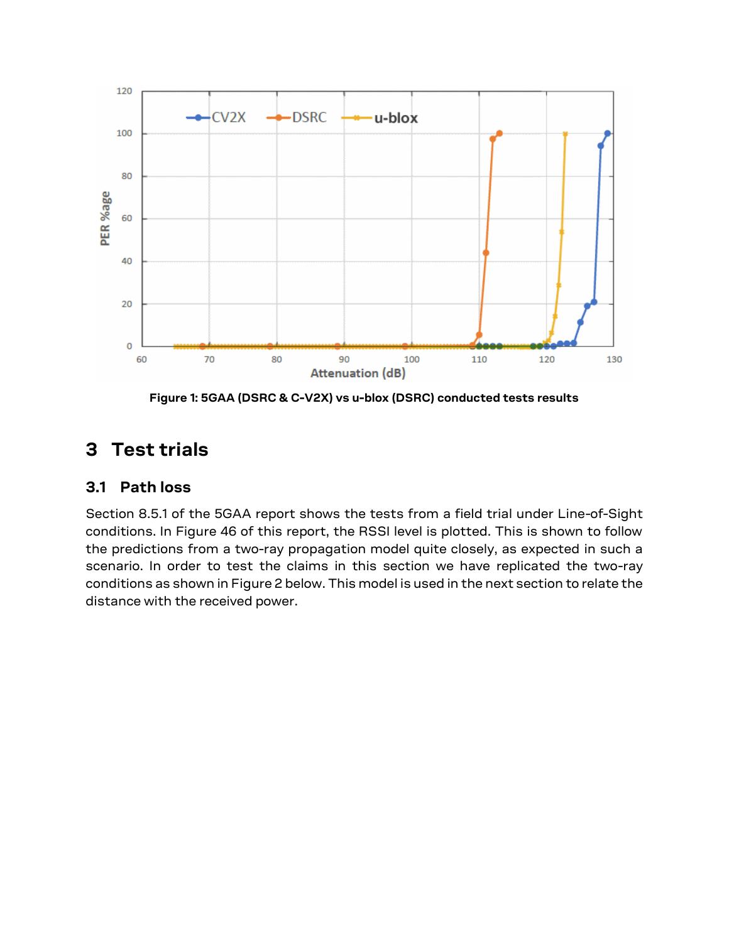

**Figure 1: 5GAA (DSRC & C-V2X) vs u-blox (DSRC) conducted tests results**

## <span id="page-2-0"></span>**3 Test trials**

#### **3.1 Path loss**

Section 8.5.1 of the 5GAA report shows the tests from a field trial under Line-of-Sight conditions. In Figure 46 of this report, the RSSI level is plotted. This is shown to follow the predictions from a two-ray propagation model quite closely, as expected in such a scenario. In order to test the claims in this section we have replicated the two-ray conditions as shown i[n Figure 2](#page-3-0) below. This model is used in the next section to relate the distance with the received power.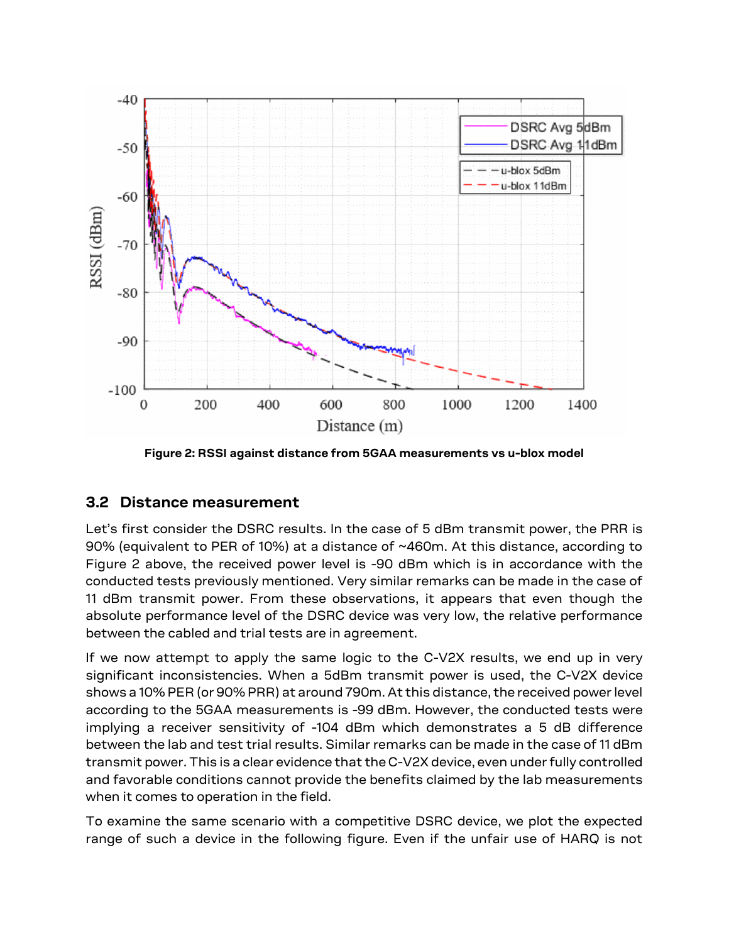

**Figure 2: RSSI against distance from 5GAA measurements vs u-blox model**

#### <span id="page-3-0"></span>**3.2 Distance measurement**

Let's first consider the DSRC results. In the case of 5 dBm transmit power, the PRR is 90% (equivalent to PER of 10%) at a distance of ~460m. At this distance, according to [Figure 2](#page-3-0) above, the received power level is -90 dBm which is in accordance with the conducted tests previously mentioned. Very similar remarks can be made in the case of 11 dBm transmit power. From these observations, it appears that even though the absolute performance level of the DSRC device was very low, the relative performance between the cabled and trial tests are in agreement.

If we now attempt to apply the same logic to the C-V2X results, we end up in very significant inconsistencies. When a 5dBm transmit power is used, the C-V2X device shows a 10% PER (or 90% PRR) at around 790m. At this distance, the received power level according to the 5GAA measurements is -99 dBm. However, the conducted tests were implying a receiver sensitivity of -104 dBm which demonstrates a 5 dB difference between the lab and test trial results. Similar remarks can be made in the case of 11 dBm transmit power. This is a clear evidence that the C-V2X device, even under fully controlled and favorable conditions cannot provide the benefits claimed by the lab measurements when it comes to operation in the field.

To examine the same scenario with a competitive DSRC device, we plot the expected range of such a device in the following figure. Even if the unfair use of HARQ is not